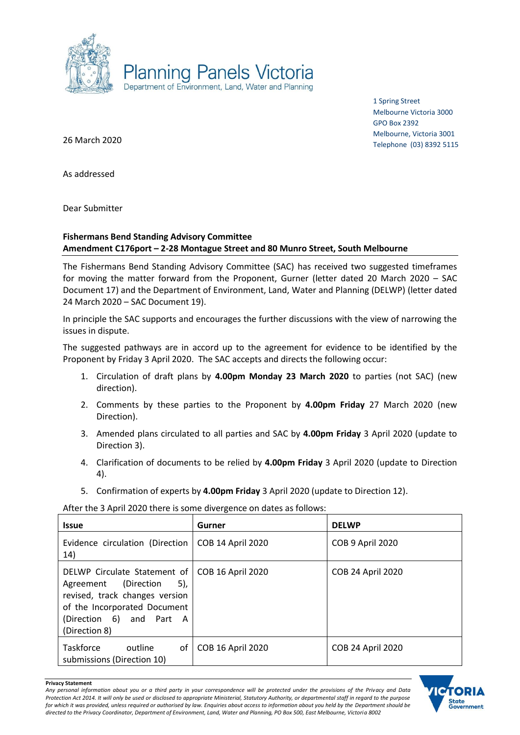

1 Spring Street Melbourne Victoria 3000 GPO Box 2392 Melbourne, Victoria 3001 Telephone (03) 8392 5115

26 March 2020

As addressed

Dear Submitter

# **Fishermans Bend Standing Advisory Committee Amendment C176port – 2-28 Montague Street and 80 Munro Street, South Melbourne**

The Fishermans Bend Standing Advisory Committee (SAC) has received two suggested timeframes for moving the matter forward from the Proponent, Gurner (letter dated 20 March 2020 – SAC Document 17) and the Department of Environment, Land, Water and Planning (DELWP) (letter dated 24 March 2020 – SAC Document 19).

In principle the SAC supports and encourages the further discussions with the view of narrowing the issues in dispute.

The suggested pathways are in accord up to the agreement for evidence to be identified by the Proponent by Friday 3 April 2020. The SAC accepts and directs the following occur:

- 1. Circulation of draft plans by **4.00pm Monday 23 March 2020** to parties (not SAC) (new direction).
- 2. Comments by these parties to the Proponent by **4.00pm Friday** 27 March 2020 (new Direction).
- 3. Amended plans circulated to all parties and SAC by **4.00pm Friday** 3 April 2020 (update to Direction 3).
- 4. Clarification of documents to be relied by **4.00pm Friday** 3 April 2020 (update to Direction 4).
- 5. Confirmation of experts by **4.00pm Friday** 3 April 2020 (update to Direction 12).

After the 3 April 2020 there is some divergence on dates as follows:

| <b>Issue</b>                                                                                                                                                                                   | Gurner                   | <b>DELWP</b>             |
|------------------------------------------------------------------------------------------------------------------------------------------------------------------------------------------------|--------------------------|--------------------------|
| Evidence circulation (Direction  <br>14)                                                                                                                                                       | <b>COB 14 April 2020</b> | COB 9 April 2020         |
| DELWP Circulate Statement of   COB 16 April 2020<br>Agreement (Direction<br>5),<br>revised, track changes version<br>of the Incorporated Document<br>(Direction 6) and Part A<br>(Direction 8) |                          | <b>COB 24 April 2020</b> |
| Taskforce<br>of I<br>outline<br>submissions (Direction 10)                                                                                                                                     | <b>COB 16 April 2020</b> | <b>COB 24 April 2020</b> |



**Privacy Statement**

*Any personal information about you or a third party in your correspondence will be protected under the provisions of the Privacy and Data Protection Act 2014. It will only be used or disclosed to appropriate Ministerial, Statutory Authority, or departmental staff in regard to the purpose*  for which it was provided, unless required or authorised by law. Enquiries about access to information about you held by the Department should be *directed to the Privacy Coordinator, Department of Environment, Land, Water and Planning, PO Box 500, East Melbourne, Victoria 8002*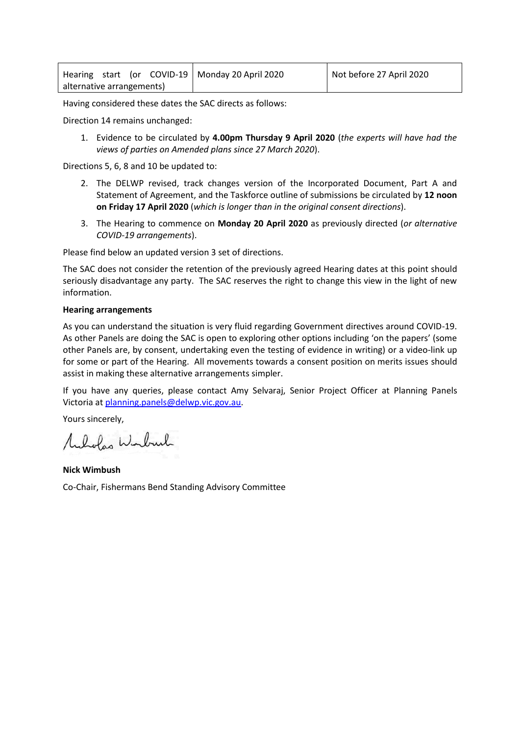|                           |  |  | Hearing start (or COVID-19   Monday 20 April 2020 | Not before 27 April 2020 |
|---------------------------|--|--|---------------------------------------------------|--------------------------|
| alternative arrangements) |  |  |                                                   |                          |

Having considered these dates the SAC directs as follows:

Direction 14 remains unchanged:

1. Evidence to be circulated by **4.00pm Thursday 9 April 2020** (*the experts will have had the views of parties on Amended plans since 27 March 2020*).

Directions 5, 6, 8 and 10 be updated to:

- 2. The DELWP revised, track changes version of the Incorporated Document, Part A and Statement of Agreement, and the Taskforce outline of submissions be circulated by **12 noon on Friday 17 April 2020** (*which is longer than in the original consent directions*).
- 3. The Hearing to commence on **Monday 20 April 2020** as previously directed (*or alternative COVID-19 arrangements*).

Please find below an updated version 3 set of directions.

The SAC does not consider the retention of the previously agreed Hearing dates at this point should seriously disadvantage any party. The SAC reserves the right to change this view in the light of new information.

### **Hearing arrangements**

As you can understand the situation is very fluid regarding Government directives around COVID-19. As other Panels are doing the SAC is open to exploring other options including 'on the papers' (some other Panels are, by consent, undertaking even the testing of evidence in writing) or a video-link up for some or part of the Hearing. All movements towards a consent position on merits issues should assist in making these alternative arrangements simpler.

If you have any queries, please contact Amy Selvaraj, Senior Project Officer at Planning Panels Victoria at [planning.panels@delwp.vic.gov.au.](mailto:planning.panels@delwp.vic.gov.au)

Yours sincerely,

Mulvolas Winburk

**Nick Wimbush** Co-Chair, Fishermans Bend Standing Advisory Committee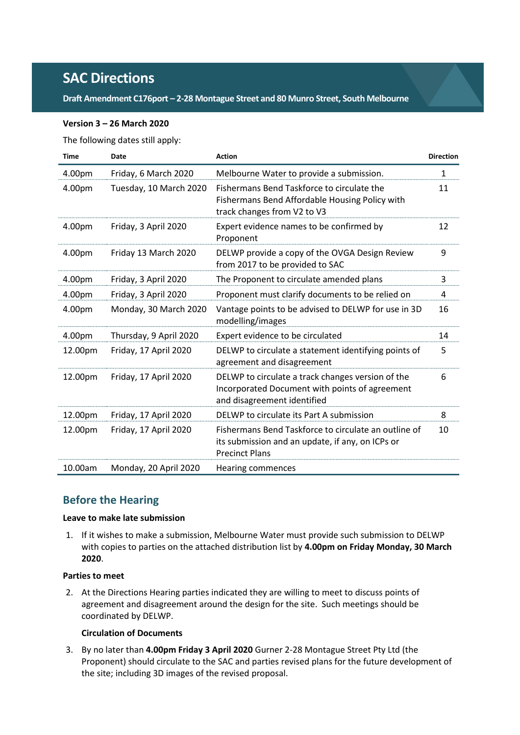# **SAC Directions**

### **Draft Amendment C176port – 2-28 Montague Street and 80 Munro Street, South Melbourne**

### **Version 3 – 26 March 2020**

The following dates still apply:

| <b>Time</b> | <b>Date</b>            | <b>Action</b>                                                                                                                      | <b>Direction</b> |
|-------------|------------------------|------------------------------------------------------------------------------------------------------------------------------------|------------------|
| 4.00pm      | Friday, 6 March 2020   | Melbourne Water to provide a submission.                                                                                           | $\mathbf{1}$     |
| 4.00pm      | Tuesday, 10 March 2020 | Fishermans Bend Taskforce to circulate the<br>Fishermans Bend Affordable Housing Policy with<br>track changes from V2 to V3        | 11               |
| 4.00pm      | Friday, 3 April 2020   | Expert evidence names to be confirmed by<br>Proponent                                                                              | 12               |
| 4.00pm      | Friday 13 March 2020   | DELWP provide a copy of the OVGA Design Review<br>from 2017 to be provided to SAC                                                  | 9                |
| 4.00pm      | Friday, 3 April 2020   | The Proponent to circulate amended plans                                                                                           | 3                |
| 4.00pm      | Friday, 3 April 2020   | Proponent must clarify documents to be relied on                                                                                   | 4                |
| 4.00pm      | Monday, 30 March 2020  | Vantage points to be advised to DELWP for use in 3D<br>modelling/images                                                            | 16               |
| 4.00pm      | Thursday, 9 April 2020 | Expert evidence to be circulated                                                                                                   | 14               |
| 12.00pm     | Friday, 17 April 2020  | DELWP to circulate a statement identifying points of<br>agreement and disagreement                                                 | 5                |
| 12.00pm     | Friday, 17 April 2020  | DELWP to circulate a track changes version of the<br>Incorporated Document with points of agreement<br>and disagreement identified | 6                |
| 12.00pm     | Friday, 17 April 2020  | DELWP to circulate its Part A submission                                                                                           | 8                |
| 12.00pm     | Friday, 17 April 2020  | Fishermans Bend Taskforce to circulate an outline of<br>its submission and an update, if any, on ICPs or<br><b>Precinct Plans</b>  | 10               |
| 10.00am     | Monday, 20 April 2020  | <b>Hearing commences</b>                                                                                                           |                  |

# **Before the Hearing**

### **Leave to make late submission**

1. If it wishes to make a submission, Melbourne Water must provide such submission to DELWP with copies to parties on the attached distribution list by **4.00pm on Friday Monday, 30 March 2020**.

### **Parties to meet**

2. At the Directions Hearing parties indicated they are willing to meet to discuss points of agreement and disagreement around the design for the site. Such meetings should be coordinated by DELWP.

### **Circulation of Documents**

3. By no later than **4.00pm Friday 3 April 2020** Gurner 2-28 Montague Street Pty Ltd (the Proponent) should circulate to the SAC and parties revised plans for the future development of the site; including 3D images of the revised proposal.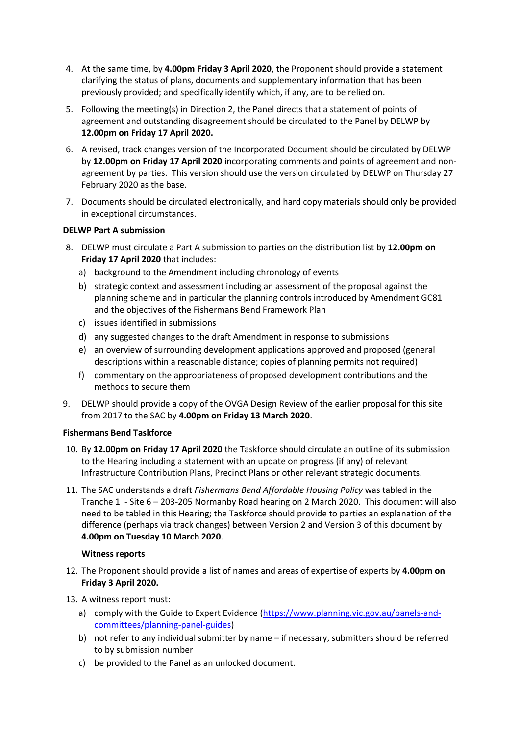- 4. At the same time, by **4.00pm Friday 3 April 2020**, the Proponent should provide a statement clarifying the status of plans, documents and supplementary information that has been previously provided; and specifically identify which, if any, are to be relied on.
- 5. Following the meeting(s) in Direction 2, the Panel directs that a statement of points of agreement and outstanding disagreement should be circulated to the Panel by DELWP by **12.00pm on Friday 17 April 2020.**
- 6. A revised, track changes version of the Incorporated Document should be circulated by DELWP by **12.00pm on Friday 17 April 2020** incorporating comments and points of agreement and nonagreement by parties. This version should use the version circulated by DELWP on Thursday 27 February 2020 as the base.
- 7. Documents should be circulated electronically, and hard copy materials should only be provided in exceptional circumstances.

### **DELWP Part A submission**

- 8. DELWP must circulate a Part A submission to parties on the distribution list by **12.00pm on Friday 17 April 2020** that includes:
	- a) background to the Amendment including chronology of events
	- b) strategic context and assessment including an assessment of the proposal against the planning scheme and in particular the planning controls introduced by Amendment GC81 and the objectives of the Fishermans Bend Framework Plan
	- c) issues identified in submissions
	- d) any suggested changes to the draft Amendment in response to submissions
	- e) an overview of surrounding development applications approved and proposed (general descriptions within a reasonable distance; copies of planning permits not required)
	- f) commentary on the appropriateness of proposed development contributions and the methods to secure them
- 9. DELWP should provide a copy of the OVGA Design Review of the earlier proposal for this site from 2017 to the SAC by **4.00pm on Friday 13 March 2020**.

## **Fishermans Bend Taskforce**

- 10. By **12.00pm on Friday 17 April 2020** the Taskforce should circulate an outline of its submission to the Hearing including a statement with an update on progress (if any) of relevant Infrastructure Contribution Plans, Precinct Plans or other relevant strategic documents.
- 11. The SAC understands a draft *Fishermans Bend Affordable Housing Policy* was tabled in the Tranche 1 - Site 6 – 203-205 Normanby Road hearing on 2 March 2020. This document will also need to be tabled in this Hearing; the Taskforce should provide to parties an explanation of the difference (perhaps via track changes) between Version 2 and Version 3 of this document by **4.00pm on Tuesday 10 March 2020**.

## **Witness reports**

- 12. The Proponent should provide a list of names and areas of expertise of experts by **4.00pm on Friday 3 April 2020.**
- 13. A witness report must:
	- a) comply with the Guide to Expert Evidence [\(https://www.planning.vic.gov.au/panels-and](https://www.planning.vic.gov.au/panels-and-committees/planning-panel-guides)[committees/planning-panel-guides\)](https://www.planning.vic.gov.au/panels-and-committees/planning-panel-guides)
	- b) not refer to any individual submitter by name if necessary, submitters should be referred to by submission number
	- c) be provided to the Panel as an unlocked document.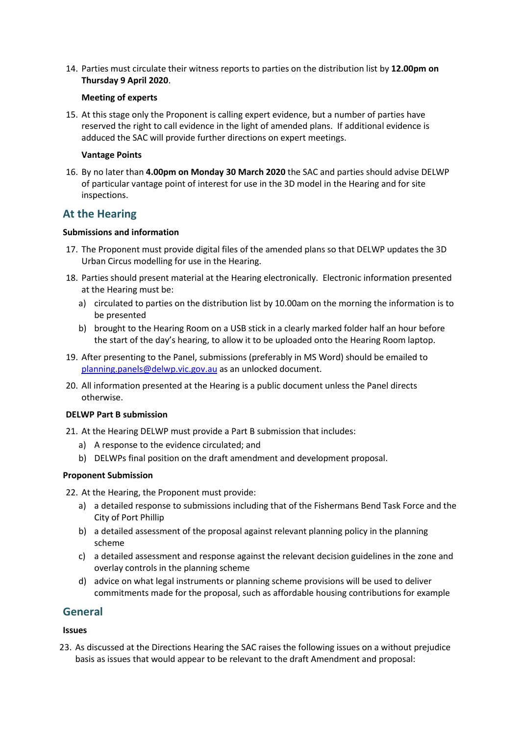14. Parties must circulate their witness reports to parties on the distribution list by **12.00pm on Thursday 9 April 2020**.

### **Meeting of experts**

15. At this stage only the Proponent is calling expert evidence, but a number of parties have reserved the right to call evidence in the light of amended plans. If additional evidence is adduced the SAC will provide further directions on expert meetings.

### **Vantage Points**

16. By no later than **4.00pm on Monday 30 March 2020** the SAC and parties should advise DELWP of particular vantage point of interest for use in the 3D model in the Hearing and for site inspections.

# **At the Hearing**

### **Submissions and information**

- 17. The Proponent must provide digital files of the amended plans so that DELWP updates the 3D Urban Circus modelling for use in the Hearing.
- 18. Parties should present material at the Hearing electronically. Electronic information presented at the Hearing must be:
	- a) circulated to parties on the distribution list by 10.00am on the morning the information is to be presented
	- b) brought to the Hearing Room on a USB stick in a clearly marked folder half an hour before the start of the day's hearing, to allow it to be uploaded onto the Hearing Room laptop.
- 19. After presenting to the Panel, submissions (preferably in MS Word) should be emailed to [planning.panels@delwp.vic.gov.au](mailto:planning.panels@delwp.vic.gov.au) as an unlocked document.
- 20. All information presented at the Hearing is a public document unless the Panel directs otherwise.

#### **DELWP Part B submission**

- 21. At the Hearing DELWP must provide a Part B submission that includes:
	- a) A response to the evidence circulated; and
	- b) DELWPs final position on the draft amendment and development proposal.

### **Proponent Submission**

- 22. At the Hearing, the Proponent must provide:
	- a) a detailed response to submissions including that of the Fishermans Bend Task Force and the City of Port Phillip
	- b) a detailed assessment of the proposal against relevant planning policy in the planning scheme
	- c) a detailed assessment and response against the relevant decision guidelines in the zone and overlay controls in the planning scheme
	- d) advice on what legal instruments or planning scheme provisions will be used to deliver commitments made for the proposal, such as affordable housing contributions for example

## **General**

### **Issues**

23. As discussed at the Directions Hearing the SAC raises the following issues on a without prejudice basis as issues that would appear to be relevant to the draft Amendment and proposal: